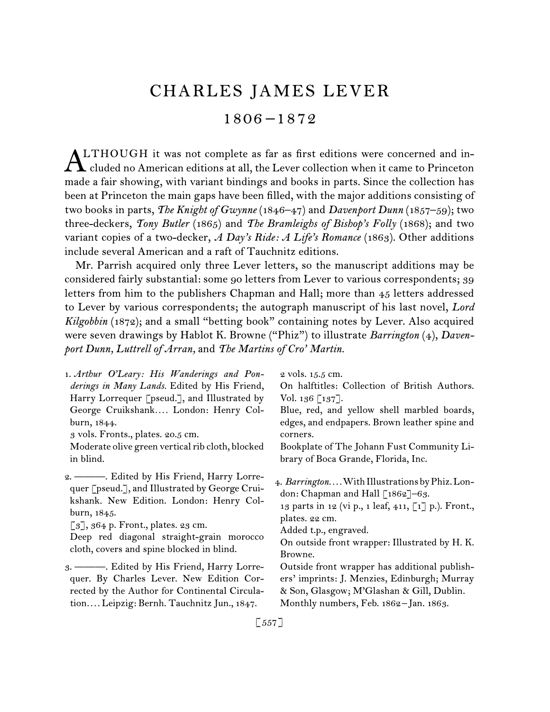# CHARLES JAMES LEVER

1806 –1872

LTHOUGH it was not complete as far as first editions were concerned and in-ALTHOUGH it was not complete as far as first editions were concerned and in-<br>cluded no American editions at all, the Lever collection when it came to Princeton made a fair showing, with variant bindings and books in parts. Since the collection has been at Princeton the main gaps have been filled, with the major additions consisting of two books in parts, *The Knight of Gwynne* (1846–47) and *Davenport Dunn* (1857–59); two three-deckers, *Tony Butler* (1865) and *The Bramleighs of Bishop's Folly* (1868); and two variant copies of a two-decker, *A Day's Ride: A Life's Romance* (1863). Other additions include several American and a raft of Tauchnitz editions.

Mr. Parrish acquired only three Lever letters, so the manuscript additions may be considered fairly substantial: some 90 letters from Lever to various correspondents; 39 letters from him to the publishers Chapman and Hall; more than 45 letters addressed to Lever by various correspondents; the autograph manuscript of his last novel, *Lord Kilgobbin* (1872); and a small "betting book" containing notes by Lever. Also acquired were seven drawings by Hablot K. Browne ("Phiz") to illustrate *Barrington* (4), *Davenport Dunn, Luttrell of Arran,* and *The Martins of Cro' Martin.*

| 1. Arthur O'Leary: His Wanderings and Pon-        | 2 vols. 15.5 cm.                                     |
|---------------------------------------------------|------------------------------------------------------|
| derings in Many Lands. Edited by His Friend,      | On halftitles: Collection of British Authors.        |
| Harry Lorrequer [pseud.], and Illustrated by      | Vol. 136 $\lceil 137 \rceil$ .                       |
| George Cruikshank London: Henry Col-              | Blue, red, and yellow shell marbled boards,          |
| burn, 1844.                                       | edges, and endpapers. Brown leather spine and        |
| 3 vols. Fronts., plates. 20.5 cm.                 | corners.                                             |
| Moderate olive green vertical rib cloth, blocked  | Bookplate of The Johann Fust Community Li-           |
| in blind.                                         | brary of Boca Grande, Florida, Inc.                  |
| 2. — Bdited by His Friend, Harry Lorre-           | 4. Barrington With Illustrations by Phiz. Lon-       |
| quer [pseud.], and Illustrated by George Crui-    | don: Chapman and Hall [1862]-63.                     |
| kshank. New Edition. London: Henry Col-           | 13 parts in 12 (vi p., 1 leaf, 411, [1] p.). Front., |
| burn, 1845.                                       | plates. 22 cm.                                       |
| $\lceil 3 \rceil$ , 364 p. Front., plates. 23 cm. | Added t.p., engraved.                                |
| Deep red diagonal straight-grain morocco          | On outside front wrapper: Illustrated by H.K.        |
| cloth, covers and spine blocked in blind.         | Browne.                                              |
| 3. — Bdited by His Friend, Harry Lorre-           | Outside front wrapper has additional publish-        |
| quer. By Charles Lever. New Edition Cor-          | ers' imprints: J. Menzies, Edinburgh; Murray         |
| rected by the Author for Continental Circula-     | & Son, Glasgow; M'Glashan & Gill, Dublin.            |
| tion Leipzig: Bernh. Tauchnitz Jun., 1847.        | Monthly numbers, Feb. 1862-Jan. 1863.                |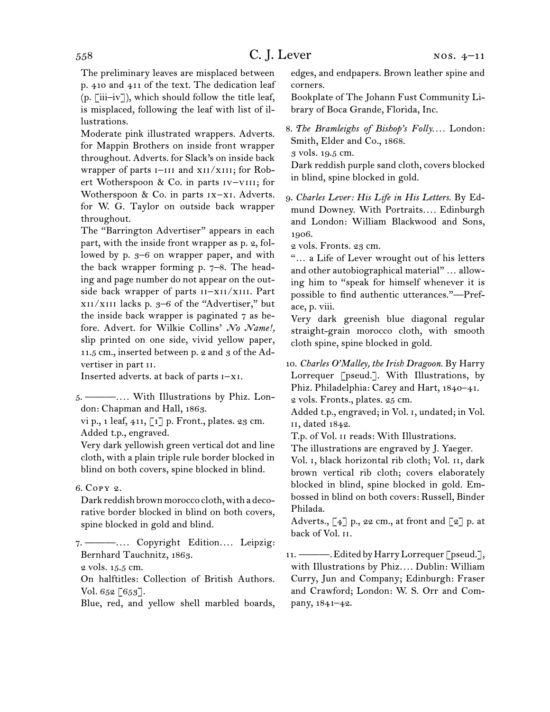The preliminary leaves are misplaced between p. 410 and 411 of the text. The dedication leaf (p. [iii–iv]), which should follow the title leaf, is misplaced, following the leaf with list of illustrations.

Moderate pink illustrated wrappers. Adverts. for Mappin Brothers on inside front wrapper throughout. Adverts. for Slack's on inside back wrapper of parts  $I$ -III and XII/XIII; for Robert Wotherspoon & Co. in parts iv–viii; for Wotherspoon & Co. in parts ix–xi. Adverts. for W. G. Taylor on outside back wrapper throughout.

The "Barrington Advertiser" appears in each part, with the inside front wrapper as p. 2, followed by p. 3–6 on wrapper paper, and with the back wrapper forming p. 7–8. The heading and page number do not appear on the outside back wrapper of parts II-XII/XIII. Part xii/xiii lacks p. 3–6 of the "Advertiser," but the inside back wrapper is paginated 7 as before. Advert. for Wilkie Collins' *No Name!,*  slip printed on one side, vivid yellow paper, 11.5 cm., inserted between p. 2 and 3 of the Advertiser in part ii.

Inserted adverts. at back of parts i–xi.

5.  ———*. . . .* With Illustrations by Phiz. London: Chapman and Hall, 1863.

vi p., 1 leaf,  $411$ ,  $\begin{bmatrix} 1 \end{bmatrix}$  p. Front., plates. 23 cm. Added t.p., engraved.

Very dark yellowish green vertical dot and line cloth, with a plain triple rule border blocked in blind on both covers, spine blocked in blind.

6.  Copy 2.

Dark reddish brown morocco cloth, with a decorative border blocked in blind on both covers, spine blocked in gold and blind.

7.  ———*. . . .* Copyright Edition*. . . .* Leipzig: Bernhard Tauchnitz, 1863.

2 vols. 15.5 cm.

On halftitles: Collection of British Authors. Vol. 652  $[653]$ .

Blue, red, and yellow shell marbled boards,

edges, and endpapers. Brown leather spine and corners.

Bookplate of The Johann Fust Community Library of Boca Grande, Florida, Inc.

8.  *The Bramleighs of Bishop's Folly. . . .* London: Smith, Elder and Co., 1868.

3 vols. 19.5 cm.

Dark reddish purple sand cloth, covers blocked in blind, spine blocked in gold.

9.  *Charles Lever: His Life in His Letters.* By Edmund Downey. With Portraits*. . . .* Edinburgh and London: William Blackwood and Sons, 1906.

2 vols. Fronts. 23 cm.

"… a Life of Lever wrought out of his letters and other autobiographical material" … allowing him to "speak for himself whenever it is possible to find authentic utterances."—Preface, p. viii.

Very dark greenish blue diagonal regular straight-grain morocco cloth, with smooth cloth spine, spine blocked in gold.

10.  *Charles O'Malley, the Irish Dragoon.* By Harry Lorrequer [pseud.]. With Illustrations, by Phiz. Philadelphia: Carey and Hart, 1840–41. 2 vols. Fronts., plates. 25 cm.

Added t.p., engraved; in Vol. i, undated; in Vol. ii, dated 1842.

T.p. of Vol. ii reads: With Illustrations.

The illustrations are engraved by J. Yaeger.

Vol. i, black horizontal rib cloth; Vol. ii, dark brown vertical rib cloth; covers elaborately blocked in blind, spine blocked in gold. Embossed in blind on both covers: Russell, Binder Philada.

Adverts.,  $\lceil 4 \rceil$  p., 22 cm., at front and  $\lceil 2 \rceil$  p. at back of Vol. ii.

11. ————. Edited by Harry Lorrequer [pseud.], with Illustrations by Phiz*. . . .* Dublin: William Curry, Jun and Company; Edinburgh: Fraser and Crawford; London: W. S. Orr and Company, 1841–42.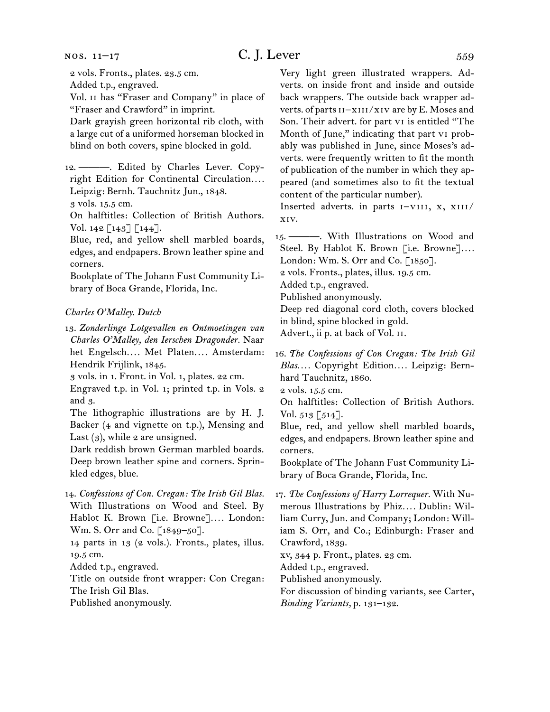#### nos. 11–17

# $C. J. Lever$   $559$

2 vols. Fronts., plates. 23.5 cm.

Added t.p., engraved.

Vol. ii has "Fraser and Company" in place of "Fraser and Crawford" in imprint.

Dark grayish green horizontal rib cloth, with a large cut of a uniformed horseman blocked in blind on both covers, spine blocked in gold.

12.  ———. Edited by Charles Lever. Copyright Edition for Continental Circulation*. . . .* Leipzig: Bernh. Tauchnitz Jun., 1848. 3 vols. 15.5 cm.

On halftitles: Collection of British Authors. Vol.  $142$  [ $143$ ] [ $144$ ].

Blue, red, and yellow shell marbled boards, edges, and endpapers. Brown leather spine and corners.

Bookplate of The Johann Fust Community Library of Boca Grande, Florida, Inc.

#### *Charles O'Malley. Dutch*

13.  *Zonderlinge Lotgevallen en Ontmoetingen van Charles O'Malley, den Ierschen Dragonder.* Naar het Engelsch*. . . .* Met Platen*. . . .* Amsterdam: Hendrik Frijlink, 1845.

3 vols. in 1. Front. in Vol. 1, plates. 22 cm.

Engraved t.p. in Vol. 1; printed t.p. in Vols. 2 and 3.

The lithographic illustrations are by H. J. Backer (4 and vignette on t.p.), Mensing and Last  $(3)$ , while 2 are unsigned.

Dark reddish brown German marbled boards. Deep brown leather spine and corners. Sprinkled edges, blue.

14.  *Confessions of Con. Cregan: The Irish Gil Blas.* With Illustrations on Wood and Steel. By Hablot K. Brown [i.e. Browne]*. . . .* London: Wm. S. Orr and Co. [1849–50].

14 parts in 13 (2 vols.). Fronts., plates, illus. 19.5 cm.

Added t.p., engraved.

Title on outside front wrapper: Con Cregan: The Irish Gil Blas.

Published anonymously.

Very light green illustrated wrappers. Adverts. on inside front and inside and outside back wrappers. The outside back wrapper adverts. of parts  $I1-xIII/xIV$  are by E. Moses and Son. Their advert. for part vi is entitled "The Month of June," indicating that part vi probably was published in June, since Moses's adverts. were frequently written to fit the month of publication of the number in which they appeared (and sometimes also to fit the textual content of the particular number).

Inserted adverts. in parts  $I-VIII$ , x,  $XIII$ / xiv.

15.  ———. With Illustrations on Wood and Steel. By Hablot K. Brown [i.e. Browne]*. . . .*  London: Wm. S. Orr and Co. [1850].

2 vols. Fronts., plates, illus. 19.5 cm.

Added t.p., engraved.

Published anonymously.

Deep red diagonal cord cloth, covers blocked in blind, spine blocked in gold.

Advert., ii p. at back of Vol. ii.

16.  *The Confessions of Con Cregan: The Irish Gil Blas. . . .* Copyright Edition*. . . .* Leipzig: Bernhard Tauchnitz, 1860.

2 vols. 15.5 cm.

On halftitles: Collection of British Authors. Vol.  $513$  [ $514$ ].

Blue, red, and yellow shell marbled boards, edges, and endpapers. Brown leather spine and corners.

Bookplate of The Johann Fust Community Library of Boca Grande, Florida, Inc.

17.  *The Confessions of Harry Lorrequer.* With Numerous Illustrations by Phiz*. . . .* Dublin: William Curry, Jun. and Company; London: William S. Orr, and Co.; Edinburgh: Fraser and Crawford, 1839.

xv, 344 p. Front., plates. 23 cm.

Added t.p., engraved.

Published anonymously.

For discussion of binding variants, see Carter, *Binding Variants,* p. 131–132.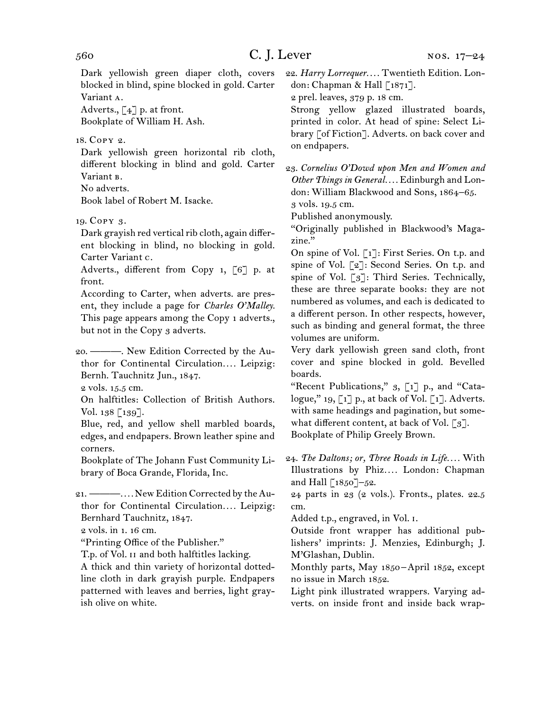Dark yellowish green diaper cloth, covers blocked in blind, spine blocked in gold. Carter Variant a.

Adverts.,  $\lceil 4 \rceil$  p. at front.

Bookplate of William H. Ash.

18.  Copy 2.

Dark yellowish green horizontal rib cloth, different blocking in blind and gold. Carter Variant **B**.

No adverts.

Book label of Robert M. Isacke.

19.  Copy 3.

Dark grayish red vertical rib cloth, again different blocking in blind, no blocking in gold. Carter Variant c.

Adverts., different from Copy 1, [6] p. at front.

According to Carter, when adverts. are present, they include a page for *Charles O'Malley.*  This page appears among the Copy 1 adverts., but not in the Copy 3 adverts.

20.  ———. New Edition Corrected by the Author for Continental Circulation*. . . .* Leipzig: Bernh. Tauchnitz Jun., 1847.

2 vols. 15.5 cm.

On halftitles: Collection of British Authors. Vol. 138 [139].

Blue, red, and yellow shell marbled boards, edges, and endpapers. Brown leather spine and corners.

Bookplate of The Johann Fust Community Library of Boca Grande, Florida, Inc.

21.  ———*. . . .* New EditionCorrected by theAuthor for Continental Circulation*. . . .* Leipzig: Bernhard Tauchnitz, 1847.

2 vols. in 1. 16 cm.

"Printing Office of the Publisher."

T.p. of Vol. ii and both halftitles lacking.

A thick and thin variety of horizontal dottedline cloth in dark grayish purple. Endpapers patterned with leaves and berries, light grayish olive on white.

22.  *Harry Lorrequer. . . .* Twentieth Edition. London: Chapman & Hall [1871].

2 prel. leaves, 379 p. 18 cm.

Strong yellow glazed illustrated boards, printed in color. At head of spine: Select Library [of Fiction]. Adverts. on back cover and on endpapers.

23.  *Cornelius O'Dowd upon Men and Women and Other Things in General. . . .* Edinburgh and London: William Blackwood and Sons, 1864–65.

3 vols. 19.5 cm.

Published anonymously.

"Originally published in Blackwood's Magazine."

On spine of Vol. [1]: First Series. On t.p. and spine of Vol. [2]: Second Series. On t.p. and spine of Vol. [3]: Third Series. Technically, these are three separate books: they are not numbered as volumes, and each is dedicated to a different person. In other respects, however, such as binding and general format, the three volumes are uniform.

Very dark yellowish green sand cloth, front cover and spine blocked in gold. Bevelled boards.

"Recent Publications," 3, [1] p., and "Catalogue,"  $19, [1]$  p., at back of Vol. [1]. Adverts. with same headings and pagination, but somewhat different content, at back of Vol.  $\lceil 3 \rceil$ . Bookplate of Philip Greely Brown.

24.  *The Daltons; or, Three Roads in Life. . . .* With Illustrations by Phiz*. . . .* London: Chapman and Hall  $\left[1850\right]-52$ .

24 parts in 23 (2 vols.). Fronts., plates. 22.5 cm.

Added t.p., engraved, in Vol. i.

Outside front wrapper has additional publishers' imprints: J. Menzies, Edinburgh; J. M'Glashan, Dublin.

Monthly parts, May 1850 – April 1852, except no issue in March 1852.

Light pink illustrated wrappers. Varying adverts. on inside front and inside back wrap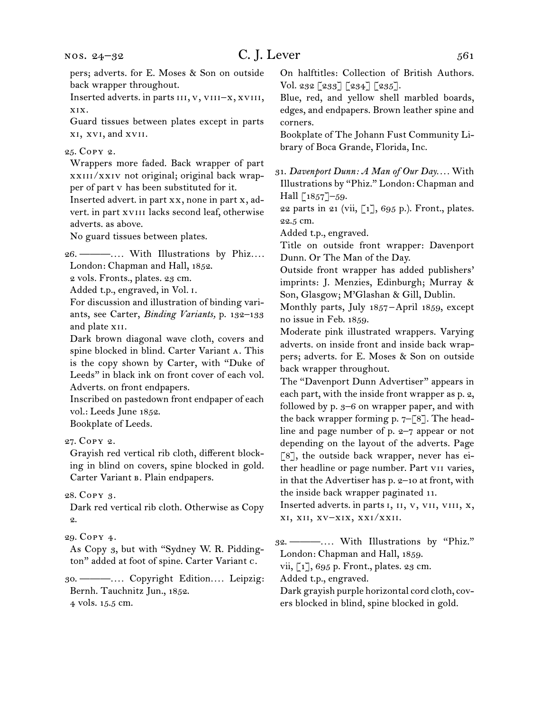Inserted adverts. in parts iii, v, viii–x, xviii, xix.

Guard tissues between plates except in parts xi, xvi, and xvii.

#### 25.  Copy 2.

Wrappers more faded. Back wrapper of part xxiii/xxiv not original; original back wrapper of part v has been substituted for it.

Inserted advert. in part xx, none in part x, advert. in part xvIII lacks second leaf, otherwise adverts. as above.

No guard tissues between plates.

26.  ———*. . . .* With Illustrations by Phiz*. . . .* London: Chapman and Hall, 1852.

2 vols. Fronts., plates. 23 cm.

Added t.p., engraved, in Vol. i.

For discussion and illustration of binding variants, see Carter, *Binding Variants,* p. 132–133 and plate xii.

Dark brown diagonal wave cloth, covers and spine blocked in blind. Carter Variant a. This is the copy shown by Carter, with "Duke of Leeds" in black ink on front cover of each vol. Adverts. on front endpapers.

Inscribed on pastedown front endpaper of each vol.: Leeds June 1852.

Bookplate of Leeds.

27.  Copy 2.

Grayish red vertical rib cloth, different blocking in blind on covers, spine blocked in gold. Carter Variant в. Plain endpapers.

28.  Copy 3.

Dark red vertical rib cloth. Otherwise as Copy 2.

As Copy 3, but with "Sydney W. R. Piddington" added at foot of spine. Carter Variant c.

30.  ———*. . . .* Copyright Edition*. . . .* Leipzig: Bernh. Tauchnitz Jun., 1852. 4 vols. 15.5 cm.

On halftitles: Collection of British Authors. Vol. 232 [233] [234] [235].

Blue, red, and yellow shell marbled boards, edges, and endpapers. Brown leather spine and corners.

Bookplate of The Johann Fust Community Library of Boca Grande, Florida, Inc.

31.  *Davenport Dunn: A Man of Our Day. . . .* With Illustrations by "Phiz." London: Chapman and Hall [1857]-59.

22 parts in 21 (vii,  $\lbrack 1 \rbrack$ , 695 p.). Front., plates. 22.5 cm.

Added t.p., engraved.

Title on outside front wrapper: Davenport Dunn. Or The Man of the Day.

Outside front wrapper has added publishers' imprints: J. Menzies, Edinburgh; Murray & Son, Glasgow; M'Glashan & Gill, Dublin.

Monthly parts, July 1857–April 1859, except no issue in Feb. 1859.

Moderate pink illustrated wrappers. Varying adverts. on inside front and inside back wrappers; adverts. for E. Moses & Son on outside back wrapper throughout.

The "Davenport Dunn Advertiser" appears in each part, with the inside front wrapper as p. 2, followed by p. 3–6 on wrapper paper, and with the back wrapper forming p.  $7-[8]$ . The headline and page number of p. 2–7 appear or not depending on the layout of the adverts. Page [8], the outside back wrapper, never has either headline or page number. Part vii varies, in that the Advertiser has p. 2–10 at front, with the inside back wrapper paginated 11.

Inserted adverts. in parts i, ii, v, vii, viii, x, xi, xii, xv–xix, xxi/xxii.

32.  ———*. . . .* With Illustrations by "Phiz." London: Chapman and Hall, 1859.

vii, [1], 695 p. Front., plates. 23 cm.

Added t.p., engraved.

Dark grayish purple horizontal cord cloth, covers blocked in blind, spine blocked in gold.

<sup>29.</sup>Copy 4.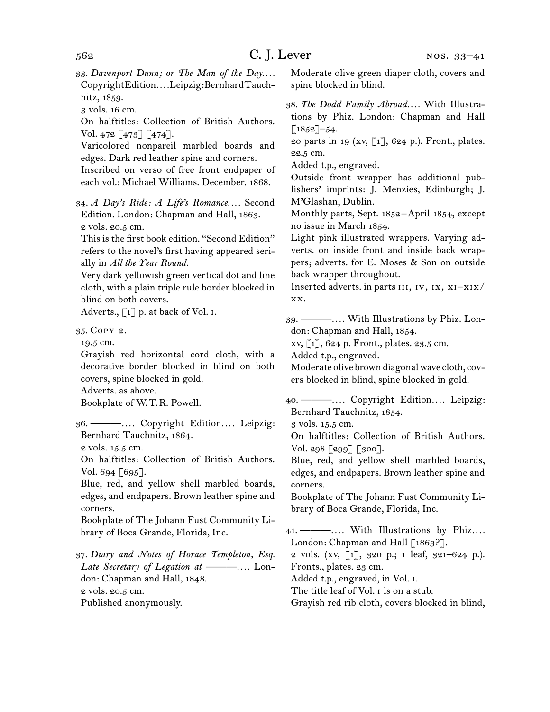33.  *Davenport Dunn; or The Man of the Day. . . .*  CopyrightEdition*. . . .*Leipzig:BernhardTauchnitz, 1859.

3 vols. 16 cm.

On halftitles: Collection of British Authors. Vol. 472 [473] [474].

Varicolored nonpareil marbled boards and edges. Dark red leather spine and corners.

Inscribed on verso of free front endpaper of each vol.: Michael Williams. December. 1868.

34.  *A Day's Ride: A Life's Romance. . . .* Second Edition. London: Chapman and Hall, 1863. 2 vols. 20.5 cm.

This is the first book edition. "Second Edition" refers to the novel's first having appeared serially in *All the Year Round.*

Very dark yellowish green vertical dot and line cloth, with a plain triple rule border blocked in blind on both covers.

Adverts.,  $\lceil 1 \rceil$  p. at back of Vol. I.

35.  Copy 2.

19.5 cm.

Grayish red horizontal cord cloth, with a decorative border blocked in blind on both covers, spine blocked in gold.

Adverts. as above.

Bookplate of W. T. R. Powell.

36.  ———*. . . .* Copyright Edition*. . . .* Leipzig: Bernhard Tauchnitz, 1864.

2 vols. 15.5 cm.

On halftitles: Collection of British Authors. Vol. 694 [695].

Blue, red, and yellow shell marbled boards, edges, and endpapers. Brown leather spine and corners.

Bookplate of The Johann Fust Community Library of Boca Grande, Florida, Inc.

37.  *Diary and Notes of Horace Templeton, Esq. Late Secretary of Legation at ———. . . .* London: Chapman and Hall, 1848. 2 vols. 20.5 cm. Published anonymously.

Moderate olive green diaper cloth, covers and spine blocked in blind.

38.  *The Dodd Family Abroad. . . .* With Illustrations by Phiz. London: Chapman and Hall  $[1852]$ –54.

20 parts in 19 (xv,  $\lceil 1 \rceil$ , 624 p.). Front., plates. 22.5 cm.

Added t.p., engraved.

Outside front wrapper has additional publishers' imprints: J. Menzies, Edinburgh; J. M'Glashan, Dublin.

Monthly parts, Sept. 1852 – April 1854, except no issue in March 1854.

Light pink illustrated wrappers. Varying adverts. on inside front and inside back wrappers; adverts. for E. Moses & Son on outside back wrapper throughout.

Inserted adverts. in parts III, IV, IX, XI-XIX/ xx.

39.  ———*. . . .* With Illustrations by Phiz. London: Chapman and Hall, 1854.

xv, [1], 624 p. Front., plates. 23.5 cm.

Added t.p., engraved.

Moderate olive brown diagonal wave cloth, covers blocked in blind, spine blocked in gold.

40.  ———*. . . .* Copyright Edition*. . . .* Leipzig: Bernhard Tauchnitz, 1854.

3 vols. 15.5 cm.

On halftitles: Collection of British Authors. Vol. 298 [299] [300].

Blue, red, and yellow shell marbled boards, edges, and endpapers. Brown leather spine and corners.

Bookplate of The Johann Fust Community Library of Boca Grande, Florida, Inc.

41.  ———*. . . .* With Illustrations by Phiz*. . . .* London: Chapman and Hall [1863?]. 2 vols. (xv, [1], 320 p.; 1 leaf, 321–624 p.). Fronts., plates. 23 cm. Added t.p., engraved, in Vol. i.

The title leaf of Vol. I is on a stub.

Grayish red rib cloth, covers blocked in blind,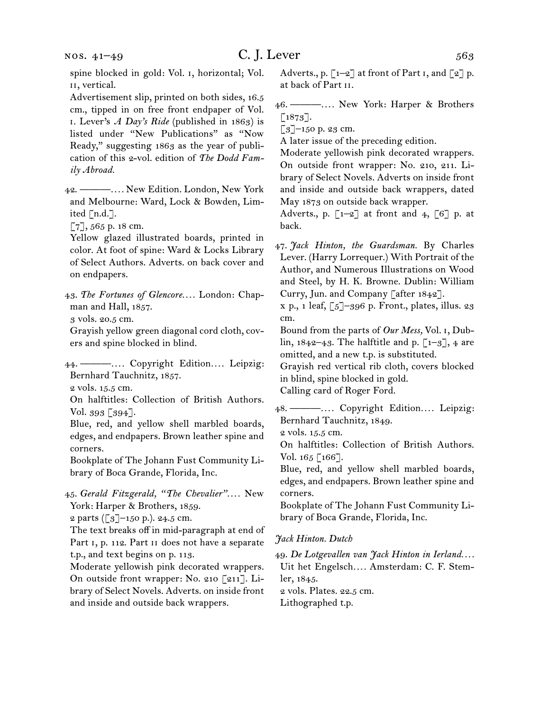Advertisement slip, printed on both sides, 16.5 cm., tipped in on free front endpaper of Vol. i. Lever's *A Day's Ride* (published in 1863) is listed under "New Publications" as "Now Ready," suggesting 1863 as the year of publication of this 2-vol. edition of *The Dodd Family Abroad.*

42.  ———*. . . .* New Edition. London, New York and Melbourne: Ward, Lock & Bowden, Limited [n.d.].

[7], 565 p. 18 cm.

Yellow glazed illustrated boards, printed in color. At foot of spine: Ward & Locks Library of Select Authors. Adverts. on back cover and on endpapers.

43.  *The Fortunes of Glencore. . . .* London: Chapman and Hall, 1857.

3 vols. 20.5 cm.

Grayish yellow green diagonal cord cloth, covers and spine blocked in blind.

44.  ———*. . . .* Copyright Edition*. . . .* Leipzig: Bernhard Tauchnitz, 1857.

2 vols. 15.5 cm.

On halftitles: Collection of British Authors. Vol. 393 [394].

Blue, red, and yellow shell marbled boards, edges, and endpapers. Brown leather spine and corners.

Bookplate of The Johann Fust Community Library of Boca Grande, Florida, Inc.

45.  *Gerald Fitzgerald, "The Chevalier". . . .* New York: Harper & Brothers, 1859.

2 parts ([3]–150 p.). 24.5 cm.

The text breaks off in mid-paragraph at end of Part I, p. 112. Part II does not have a separate t.p., and text begins on p. 113.

Moderate yellowish pink decorated wrappers. On outside front wrapper: No. 210 [211]. Library of Select Novels. Adverts. on inside front and inside and outside back wrappers.

46.  ———*. . . .* New York: Harper & Brothers  $\left[1873\right]$ .

 $\left[3\right]$ –150 p. 23 cm.

A later issue of the preceding edition.

Moderate yellowish pink decorated wrappers. On outside front wrapper: No. 210, 211. Library of Select Novels. Adverts on inside front and inside and outside back wrappers, dated May 1873 on outside back wrapper.

Adverts., p.  $\lceil 1-2 \rceil$  at front and 4,  $\lceil 6 \rceil$  p. at back.

47.  *Jack Hinton, the Guardsman.* By Charles Lever. (Harry Lorrequer.) With Portrait of the Author, and Numerous Illustrations on Wood and Steel, by H. K. Browne. Dublin: William Curry, Jun. and Company [after 1842].

 $x p., 1 leaf,  $\lceil 5 \rceil - 396 p.$  Front., plates, illus. 23$ cm.

Bound from the parts of *Our Mess,* Vol. i, Dublin,  $1842-43$ . The halftitle and p.  $\lceil 1-3 \rceil$ , 4 are omitted, and a new t.p. is substituted.

Grayish red vertical rib cloth, covers blocked in blind, spine blocked in gold.

Calling card of Roger Ford.

48.  ———*. . . .* Copyright Edition*. . . .* Leipzig: Bernhard Tauchnitz, 1849.

2 vols. 15.5 cm.

On halftitles: Collection of British Authors. Vol. 165 [166].

Blue, red, and yellow shell marbled boards, edges, and endpapers. Brown leather spine and corners.

Bookplate of The Johann Fust Community Library of Boca Grande, Florida, Inc.

#### *Jack Hinton. Dutch*

49.  *De Lotgevallen van Jack Hinton in Ierland. . . .*  Uit het Engelsch*. . . .* Amsterdam: C. F. Stem-

ler, 1845.

2 vols. Plates. 22.5 cm.

Lithographed t.p.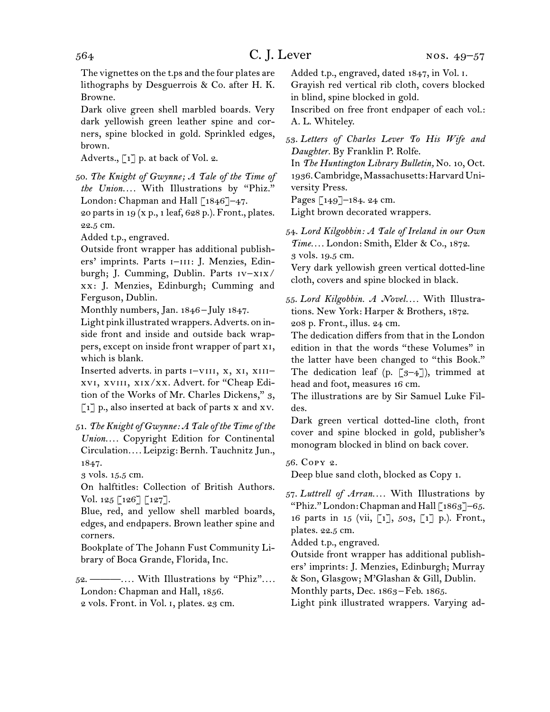The vignettes on the t.ps and the four plates are lithographs by Desguerrois & Co. after H. K. Browne.

Dark olive green shell marbled boards. Very dark yellowish green leather spine and corners, spine blocked in gold. Sprinkled edges, brown.

Adverts.,  $\lceil 1 \rceil$  p. at back of Vol. 2.

50.  *The Knight of Gwynne; A Tale of the Time of the Union. . . .* With Illustrations by "Phiz." London: Chapman and Hall  $\lceil 1846 \rceil$ –47.

20 parts in 19 (x p., 1 leaf, 628 p.). Front., plates. 22.5 cm.

Added t.p., engraved.

Outside front wrapper has additional publishers' imprints. Parts I-III: J. Menzies, Edinburgh; J. Cumming, Dublin. Parts iv–xix/ xx: J. Menzies, Edinburgh; Cumming and Ferguson, Dublin.

Monthly numbers, Jan. 1846 – July 1847.

Light pink illustrated wrappers.Adverts. on inside front and inside and outside back wrappers, except on inside front wrapper of part xi, which is blank.

Inserted adverts. in parts I-VIII, X, XI, XIIIxvi, xviii, xix/xx. Advert. for "Cheap Edition of the Works of Mr. Charles Dickens," 3,  $\lceil 1 \rceil$  p., also inserted at back of parts x and xv.

51.  *The Knight of Gwynne: A Tale of the Time of the Union. . . .* Copyright Edition for Continental Circulation*. . . .* Leipzig: Bernh. Tauchnitz Jun., 1847.

3 vols. 15.5 cm.

On halftitles: Collection of British Authors. Vol. 125 [126] [127].

Blue, red, and yellow shell marbled boards, edges, and endpapers. Brown leather spine and corners.

Bookplate of The Johann Fust Community Library of Boca Grande, Florida, Inc.

52.  ———*. . . .* With Illustrations by "Phiz"*. . . .* London: Chapman and Hall, 1856. 2 vols. Front. in Vol. i, plates. 23 cm.

Added t.p., engraved, dated 1847, in Vol. i.

Grayish red vertical rib cloth, covers blocked in blind, spine blocked in gold.

Inscribed on free front endpaper of each vol.: A. L. Whiteley.

53.  *Letters of Charles Lever To His Wife and Daughter.* By Franklin P. Rolfe.

In *The Huntington Library Bulletin,* No. 10, Oct. 1936.Cambridge,Massachusetts:HarvardUniversity Press.

Pages [149]–184. 24 cm.

Light brown decorated wrappers.

54.  *Lord Kilgobbin: A Tale of Ireland in our Own Time. . . .* London: Smith, Elder & Co., 1872. 3 vols. 19.5 cm.

Very dark yellowish green vertical dotted-line cloth, covers and spine blocked in black.

55.  *Lord Kilgobbin. A Novel. . . .* With Illustrations. New York: Harper & Brothers, 1872. 208 p. Front., illus. 24 cm.

The dedication differs from that in the London edition in that the words "these Volumes" in the latter have been changed to "this Book." The dedication leaf (p.  $\lceil 3-4 \rceil$ ), trimmed at head and foot, measures 16 cm.

The illustrations are by Sir Samuel Luke Fildes.

Dark green vertical dotted-line cloth, front cover and spine blocked in gold, publisher's monogram blocked in blind on back cover.

56.  Copy 2.

Deep blue sand cloth, blocked as Copy 1.

57.  *Luttrell of Arran. . . .* With Illustrations by "Phiz." London: Chapman and Hall  $\lceil 1869 \rceil - 65$ . 16 parts in 15 (vii, [1], 503, [1] p.). Front., plates. 22.5 cm.

Added t.p., engraved.

Outside front wrapper has additional publishers' imprints: J. Menzies, Edinburgh; Murray & Son, Glasgow; M'Glashan & Gill, Dublin.

Monthly parts, Dec. 1863–Feb. 1865.

Light pink illustrated wrappers. Varying ad-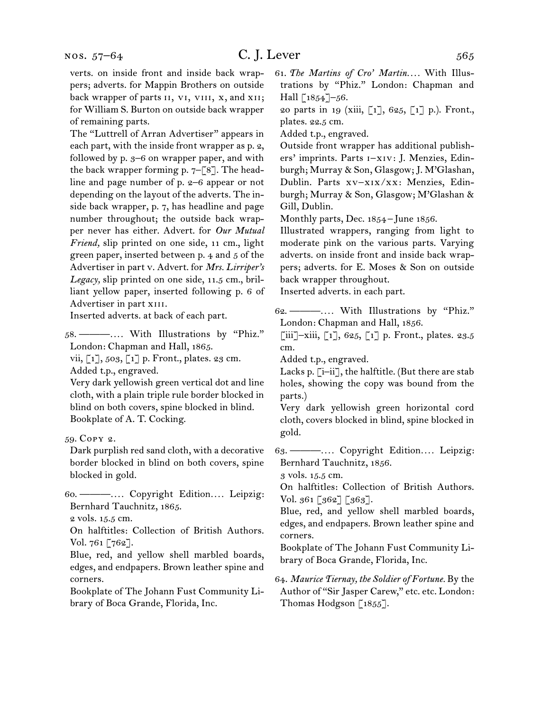of remaining parts. The "Luttrell of Arran Advertiser" appears in each part, with the inside front wrapper as p. 2, followed by p. 3–6 on wrapper paper, and with the back wrapper forming p. 7–[8]. The headline and page number of p. 2–6 appear or not depending on the layout of the adverts. The inside back wrapper, p. 7, has headline and page number throughout; the outside back wrapper never has either. Advert. for *Our Mutual Friend,* slip printed on one side, 11 cm., light green paper, inserted between p. 4 and 5 of the Advertiser in part v. Advert. for *Mrs. Lirriper's Legacy,* slip printed on one side, 11.5 cm., brilliant yellow paper, inserted following p. 6 of Advertiser in part XIII.

Inserted adverts. at back of each part.

58.  ———*. . . .* With Illustrations by "Phiz." London: Chapman and Hall, 1865.

vii, [1], 503, [1] p. Front., plates. 23 cm. Added t.p., engraved.

Very dark yellowish green vertical dot and line cloth, with a plain triple rule border blocked in blind on both covers, spine blocked in blind. Bookplate of A. T. Cocking.

59.  Copy 2.

Dark purplish red sand cloth, with a decorative border blocked in blind on both covers, spine blocked in gold.

60.  ———*. . . .* Copyright Edition*. . . .* Leipzig: Bernhard Tauchnitz, 1865.

2 vols. 15.5 cm.

On halftitles: Collection of British Authors. Vol. 761 [762].

Blue, red, and yellow shell marbled boards, edges, and endpapers. Brown leather spine and corners.

Bookplate of The Johann Fust Community Library of Boca Grande, Florida, Inc.

61.  *The Martins of Cro' Martin. . . .* With Illustrations by "Phiz." London: Chapman and Hall  $\lceil 1854 \rceil - 56$ .

20 parts in 19 (xiii, [1], 625, [1] p.). Front., plates. 22.5 cm.

Added t.p., engraved.

Outside front wrapper has additional publishers' imprints. Parts i–xiv: J. Menzies, Edinburgh; Murray & Son, Glasgow; J. M'Glashan, Dublin. Parts xv–xix/xx: Menzies, Edinburgh; Murray & Son, Glasgow; M'Glashan & Gill, Dublin.

Monthly parts, Dec. 1854 – June 1856.

Illustrated wrappers, ranging from light to moderate pink on the various parts. Varying adverts. on inside front and inside back wrappers; adverts. for E. Moses & Son on outside back wrapper throughout.

Inserted adverts. in each part.

62.  ———*. . . .* With Illustrations by "Phiz." London: Chapman and Hall, 1856.

 $\left[\begin{matrix}iii\end{matrix}\right]$ –xiii,  $\left[\begin{matrix}1\end{matrix}\right]$ , 625,  $\left[\begin{matrix}1\end{matrix}\right]$  p. Front., plates. 23.5 cm.

Added t.p., engraved.

Lacks p. [i–ii], the halftitle. (But there are stab holes, showing the copy was bound from the parts.)

Very dark yellowish green horizontal cord cloth, covers blocked in blind, spine blocked in gold.

63.  ———*. . . .* Copyright Edition*. . . .* Leipzig: Bernhard Tauchnitz, 1856.

3 vols. 15.5 cm.

On halftitles: Collection of British Authors. Vol. 361 [362] [363].

Blue, red, and yellow shell marbled boards, edges, and endpapers. Brown leather spine and corners.

Bookplate of The Johann Fust Community Library of Boca Grande, Florida, Inc.

64.  *Maurice Tiernay, the Soldier of Fortune.* By the Author of "Sir Jasper Carew," etc. etc. London: Thomas Hodgson [1855].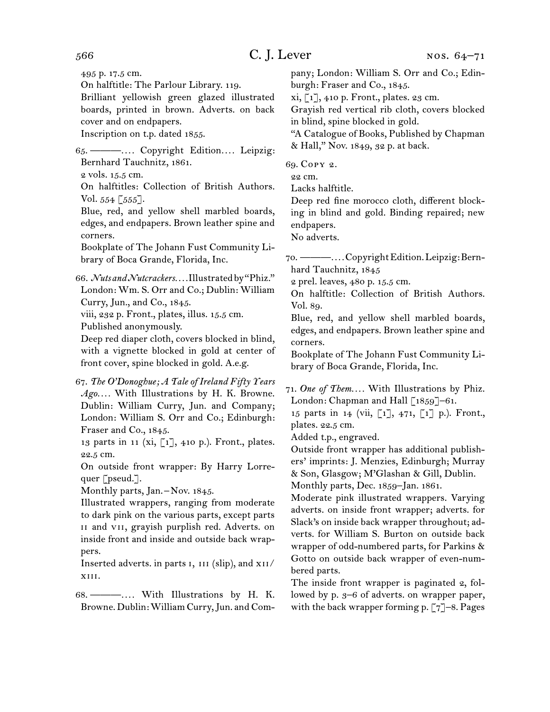495 p. 17.5 cm.

On halftitle: The Parlour Library. 119.

Brilliant yellowish green glazed illustrated boards, printed in brown. Adverts. on back cover and on endpapers.

Inscription on t.p. dated 1855.

65.  ———*. . . .* Copyright Edition*. . . .* Leipzig: Bernhard Tauchnitz, 1861.

2 vols. 15.5 cm.

On halftitles: Collection of British Authors. Vol.  $554 \, \lceil 555 \rceil$ .

Blue, red, and yellow shell marbled boards, edges, and endpapers. Brown leather spine and corners.

Bookplate of The Johann Fust Community Library of Boca Grande, Florida, Inc.

66.  *Nuts and Nutcrackers. . . .* Illustratedby"Phiz." London: Wm. S. Orr and Co.; Dublin: William Curry, Jun., and Co., 1845.

viii, 232 p. Front., plates, illus. 15.5 cm.

Published anonymously.

Deep red diaper cloth, covers blocked in blind, with a vignette blocked in gold at center of front cover, spine blocked in gold. A.e.g.

67.  *The O'Donoghue; A Tale of Ireland Fifty Years Ago. . . .* With Illustrations by H. K. Browne. Dublin: William Curry, Jun. and Company; London: William S. Orr and Co.; Edinburgh: Fraser and Co., 1845.

13 parts in 11 (xi, [1], 410 p.). Front., plates. 22.5 cm.

On outside front wrapper: By Harry Lorrequer [pseud.].

Monthly parts, Jan.<sup>-</sup>Nov. 1845.

Illustrated wrappers, ranging from moderate to dark pink on the various parts, except parts ii and vii, grayish purplish red. Adverts. on inside front and inside and outside back wrappers.

Inserted adverts. in parts I, III (slip), and XII/ xiii.

68.  ———*. . . .* With Illustrations by H. K. Browne. Dublin:William Curry,Jun. and Company; London: William S. Orr and Co.; Edinburgh: Fraser and Co., 1845.

 $xi, [1], 410$  p. Front., plates. 23 cm.

Grayish red vertical rib cloth, covers blocked in blind, spine blocked in gold.

"A Catalogue of Books, Published by Chapman & Hall," Nov. 1849, 32 p. at back.

69.  Copy 2.

22 cm.

Lacks halftitle.

Deep red fine morocco cloth, different blocking in blind and gold. Binding repaired; new endpapers.

No adverts.

70.  ———*. . . .*CopyrightEdition.Leipzig:Bernhard Tauchnitz, 1845

2 prel. leaves, 480 p. 15.5 cm.

On halftitle: Collection of British Authors. Vol. 89.

Blue, red, and yellow shell marbled boards, edges, and endpapers. Brown leather spine and corners.

Bookplate of The Johann Fust Community Library of Boca Grande, Florida, Inc.

71.  *One of Them. . . .* With Illustrations by Phiz. London: Chapman and Hall [1859]-61.

15 parts in 14 (vii, [1], 471, [1] p.). Front., plates. 22.5 cm.

Added t.p., engraved.

Outside front wrapper has additional publishers' imprints: J. Menzies, Edinburgh; Murray & Son, Glasgow; M'Glashan & Gill, Dublin. Monthly parts, Dec. 1859–Jan. 1861.

Moderate pink illustrated wrappers. Varying adverts. on inside front wrapper; adverts. for Slack's on inside back wrapper throughout; adverts. for William S. Burton on outside back wrapper of odd-numbered parts, for Parkins & Gotto on outside back wrapper of even-numbered parts.

The inside front wrapper is paginated 2, followed by p. 3–6 of adverts. on wrapper paper, with the back wrapper forming p.  $\lceil 7 \rceil$ –8. Pages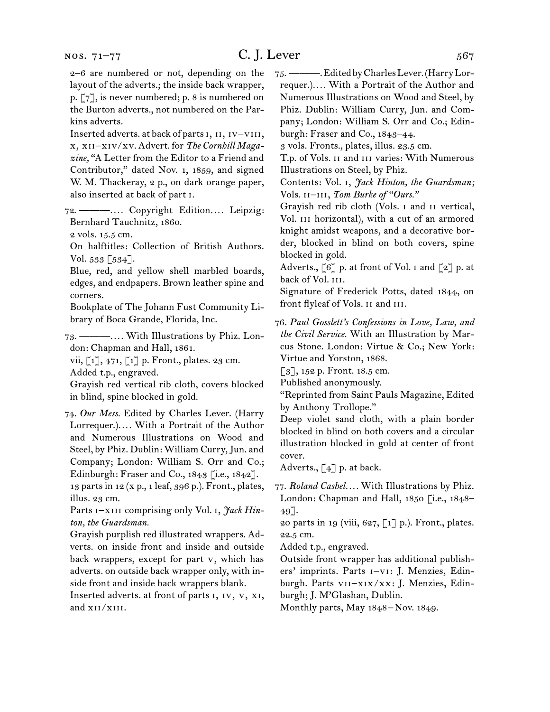2–6 are numbered or not, depending on the layout of the adverts.; the inside back wrapper, p. [7], is never numbered; p. 8 is numbered on the Burton adverts., not numbered on the Parkins adverts.

Inserted adverts. at back of partsi, ii, iv–viii, x, xii–xiv/xv. Advert. for *The Cornhill Magazine,* "A Letter from the Editor to a Friend and Contributor," dated Nov. 1, 1859, and signed W. M. Thackeray, 2 p., on dark orange paper, also inserted at back of part i.

72.  ———*. . . .* Copyright Edition*. . . .* Leipzig: Bernhard Tauchnitz, 1860.

2 vols. 15.5 cm.

On halftitles: Collection of British Authors. Vol. 533 [534].

Blue, red, and yellow shell marbled boards, edges, and endpapers. Brown leather spine and corners.

Bookplate of The Johann Fust Community Library of Boca Grande, Florida, Inc.

73.  ———*. . . .* With Illustrations by Phiz. London: Chapman and Hall, 1861.

vii, [1], 471, [1] p. Front., plates. 23 cm. Added t.p., engraved.

Grayish red vertical rib cloth, covers blocked in blind, spine blocked in gold.

74.  *Our Mess.* Edited by Charles Lever. (Harry Lorrequer.)*. . . .* With a Portrait of the Author and Numerous Illustrations on Wood and Steel, by Phiz. Dublin: William Curry,Jun. and Company; London: William S. Orr and Co.; Edinburgh: Fraser and Co., 1843 [i.e., 1842]. 13 partsin 12 (x p., 1 leaf, 396 p.). Front., plates,

illus. 23 cm.

Parts I-XIII comprising only Vol. I, *Jack Hinton, the Guardsman.*

Grayish purplish red illustrated wrappers. Adverts. on inside front and inside and outside back wrappers, except for part v, which has adverts. on outside back wrapper only, with inside front and inside back wrappers blank.

Inserted adverts. at front of parts i, iv, v, xi, and xii/xiii.

75.  ———.EditedbyCharlesLever.(HarryLorrequer.)*. . . .* With a Portrait of the Author and Numerous Illustrations on Wood and Steel, by Phiz. Dublin: William Curry, Jun. and Company; London: William S. Orr and Co.; Edinburgh: Fraser and Co., 1843–44.

3 vols. Fronts., plates, illus. 23.5 cm.

T.p. of Vols. ii and iii varies: With Numerous Illustrations on Steel, by Phiz.

Contents: Vol. i, *Jack Hinton, the Guardsman;*  Vols. ii–iii, *Tom Burke of "Ours."*

Grayish red rib cloth (Vols. i and ii vertical, Vol. III horizontal), with a cut of an armored knight amidst weapons, and a decorative border, blocked in blind on both covers, spine blocked in gold.

Adverts., [6] p. at front of Vol. i and [2] p. at back of Vol. III.

Signature of Frederick Potts, dated 1844, on front flyleaf of Vols. II and III.

76.  *Paul Gosslett's Confessions in Love, Law, and the Civil Service.* With an Illustration by Marcus Stone. London: Virtue & Co.; New York: Virtue and Yorston, 1868.

[3], 152 p. Front. 18.5 cm.

Published anonymously.

"Reprinted from Saint Pauls Magazine, Edited by Anthony Trollope."

Deep violet sand cloth, with a plain border blocked in blind on both covers and a circular illustration blocked in gold at center of front cover.

Adverts.,  $\begin{bmatrix} 4 \end{bmatrix}$  p. at back.

77.  *Roland Cashel. . . .* With Illustrations by Phiz. London: Chapman and Hall, 1850 [i.e., 1848– 49].

20 parts in 19 (viii, 627,  $\lceil 1 \rceil$  p.). Front., plates. 22.5 cm.

Added t.p., engraved.

Outside front wrapper has additional publishers' imprints. Parts i–vi: J. Menzies, Edinburgh. Parts vii–xix/xx: J. Menzies, Edinburgh; J. M'Glashan, Dublin.

Monthly parts, May 1848 – Nov. 1849.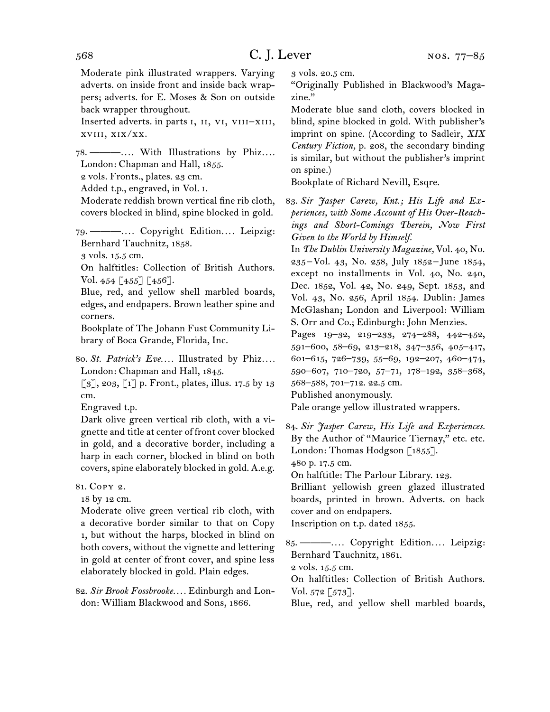Moderate pink illustrated wrappers. Varying adverts. on inside front and inside back wrappers; adverts. for E. Moses & Son on outside back wrapper throughout.

Inserted adverts. in parts i, ii, vi, viii–xiii, xviii, xix/xx.

78.  ———*. . . .* With Illustrations by Phiz*. . . .* London: Chapman and Hall, 1855.

2 vols. Fronts., plates. 23 cm.

Added t.p., engraved, in Vol. i.

Moderate reddish brown vertical fine rib cloth, covers blocked in blind, spine blocked in gold.

79.  ———*. . . .* Copyright Edition*. . . .* Leipzig: Bernhard Tauchnitz, 1858.

3 vols. 15.5 cm.

On halftitles: Collection of British Authors. Vol. 454 [455] [456].

Blue, red, and yellow shell marbled boards, edges, and endpapers. Brown leather spine and corners.

Bookplate of The Johann Fust Community Library of Boca Grande, Florida, Inc.

80.  *St. Patrick's Eve. . . .* Illustrated by Phiz*. . . .* London: Chapman and Hall, 1845.

 $\lceil 3 \rceil$ , 203,  $\lceil 1 \rceil$  p. Front., plates, illus. 17.5 by 13 cm.

Engraved t.p.

Dark olive green vertical rib cloth, with a vignette and title at center of front cover blocked in gold, and a decorative border, including a harp in each corner, blocked in blind on both covers, spine elaborately blocked in gold. A.e.g.

81.  Copy 2.

18 by 12 cm.

Moderate olive green vertical rib cloth, with a decorative border similar to that on Copy 1, but without the harps, blocked in blind on both covers, without the vignette and lettering in gold at center of front cover, and spine less elaborately blocked in gold. Plain edges.

82.  *Sir Brook Fossbrooke. . . .* Edinburgh and London: William Blackwood and Sons, 1866.

3 vols. 20.5 cm.

"Originally Published in Blackwood's Magazine."

Moderate blue sand cloth, covers blocked in blind, spine blocked in gold. With publisher's imprint on spine. (According to Sadleir, *XIX Century Fiction,* p. 208, the secondary binding is similar, but without the publisher's imprint on spine.)

Bookplate of Richard Nevill, Esqre.

83.  *Sir Jasper Carew, Knt.; His Life and Experiences, with Some Account of His Over-Reachings and Short-Comings Therein, Now First Given to the World by Himself.*

In *The Dublin University Magazine,* Vol. 40, No. 235 – Vol. 43, No. 258, July 1852 – June 1854, except no installments in Vol. 40, No. 240, Dec. 1852, Vol. 42, No. 249, Sept. 1853, and Vol. 43, No. 256, April 1854. Dublin: James McGlashan; London and Liverpool: William S. Orr and Co.; Edinburgh: John Menzies.

Pages 19–32, 219–233, 274–288, 442–452, 591–600, 58–69, 213–218, 347–356, 405–417, 601–615, 726–739, 55–69, 192–207, 460–474, 590–607, 710–720, 57–71, 178–192, 358–368, 568–588, 701–712. 22.5 cm.

Published anonymously.

Pale orange yellow illustrated wrappers.

84.  *Sir Jasper Carew, His Life and Experiences.*  By the Author of "Maurice Tiernay," etc. etc. London: Thomas Hodgson [1855].

480 p. 17.5 cm.

On halftitle: The Parlour Library. 123.

Brilliant yellowish green glazed illustrated boards, printed in brown. Adverts. on back cover and on endpapers.

Inscription on t.p. dated 1855.

85.  ———*. . . .* Copyright Edition*. . . .* Leipzig: Bernhard Tauchnitz, 1861.

2 vols. 15.5 cm.

On halftitles: Collection of British Authors. Vol.  $572$  [ $573$ ].

Blue, red, and yellow shell marbled boards,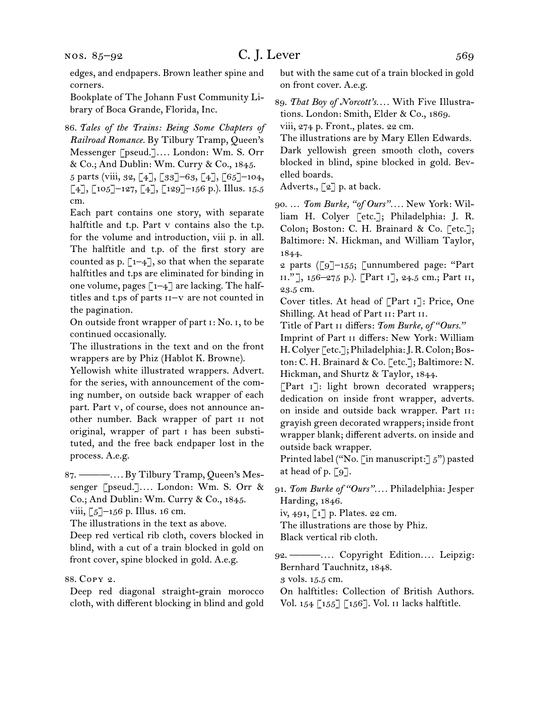edges, and endpapers. Brown leather spine and corners.

Bookplate of The Johann Fust Community Library of Boca Grande, Florida, Inc.

86.  *Tales of the Trains: Being Some Chapters of Railroad Romance.* By Tilbury Tramp, Queen's Messenger [pseud.]*. . . .* London: Wm. S. Orr & Co.; And Dublin: Wm. Curry & Co., 1845.

5 parts (viii, 32, [4], [33]–63, [4], [65]–104,  $\lceil 4 \rceil$ ,  $\lceil 105 \rceil$ –127,  $\lceil 4 \rceil$ ,  $\lceil 129 \rceil$ –156 p.). Illus. 15.5 cm.

Each part contains one story, with separate halftitle and t.p. Part v contains also the t.p. for the volume and introduction, viii p. in all. The halftitle and t.p. of the first story are counted as p.  $\lceil 1-4 \rceil$ , so that when the separate halftitles and t.ps are eliminated for binding in one volume, pages  $\lceil 1-4 \rceil$  are lacking. The halftitles and t.ps of parts ii–v are not counted in the pagination.

On outside front wrapper of part i: No. i, to be continued occasionally.

The illustrations in the text and on the front wrappers are by Phiz (Hablot K. Browne).

Yellowish white illustrated wrappers. Advert. for the series, with announcement of the coming number, on outside back wrapper of each part. Part v, of course, does not announce another number. Back wrapper of part ii not original, wrapper of part i has been substituted, and the free back endpaper lost in the process. A.e.g.

87.  ———*. . . .* By Tilbury Tramp, Queen's Messenger [pseud.]*. . . .* London: Wm. S. Orr & Co.; And Dublin: Wm. Curry & Co., 1845. viii,  $\lceil 5 \rceil$ –156 p. Illus. 16 cm.

The illustrations in the text as above.

Deep red vertical rib cloth, covers blocked in blind, with a cut of a train blocked in gold on front cover, spine blocked in gold. A.e.g.

### 88.  Copy 2.

Deep red diagonal straight-grain morocco cloth, with different blocking in blind and gold but with the same cut of a train blocked in gold on front cover. A.e.g.

89.  *That Boy of Norcott's. . . .* With Five Illustrations. London: Smith, Elder & Co., 1869. viii, 274 p. Front., plates. 22 cm.

The illustrations are by Mary Ellen Edwards. Dark yellowish green smooth cloth, covers blocked in blind, spine blocked in gold. Bevelled boards.

Adverts., [2] p. at back.

90.  … *Tom Burke, "of Ours". . . .* New York: William H. Colyer [etc.]; Philadelphia: J. R. Colon; Boston: C. H. Brainard & Co. [etc.]; Baltimore: N. Hickman, and William Taylor, 1844.

2 parts ([9]–155; [unnumbered page: "Part ii." ], 156–275 p.). [Part i], 24.5 cm.; Part ii, 23.5 cm.

Cover titles. At head of [Part i]: Price, One Shilling. At head of Part ii: Part ii.

Title of Part ii differs: *Tom Burke, of "Ours."*

Imprint of Part ii differs: New York: William H.Colyer [etc.];Philadelphia:J.R.Colon;Boston: C. H. Brainard & Co. [etc.]; Baltimore: N. Hickman, and Shurtz & Taylor, 1844.

[Part i]: light brown decorated wrappers; dedication on inside front wrapper, adverts. on inside and outside back wrapper. Part ii: grayish green decorated wrappers; inside front wrapper blank; different adverts. on inside and outside back wrapper.

Printed label ("No. [in manuscript:]  $5"$ ) pasted at head of p.  $\lceil 9 \rceil$ .

91. *Tom Burke of "Ours". . . .* Philadelphia: Jesper Harding, 1846.

iv, 491, [1] p. Plates. 22 cm.

The illustrations are those by Phiz.

Black vertical rib cloth.

92.  ———*. . . .* Copyright Edition*. . . .* Leipzig: Bernhard Tauchnitz, 1848.

3 vols. 15.5 cm.

On halftitles: Collection of British Authors. Vol. 154 [155] [156]. Vol. ii lacks halftitle.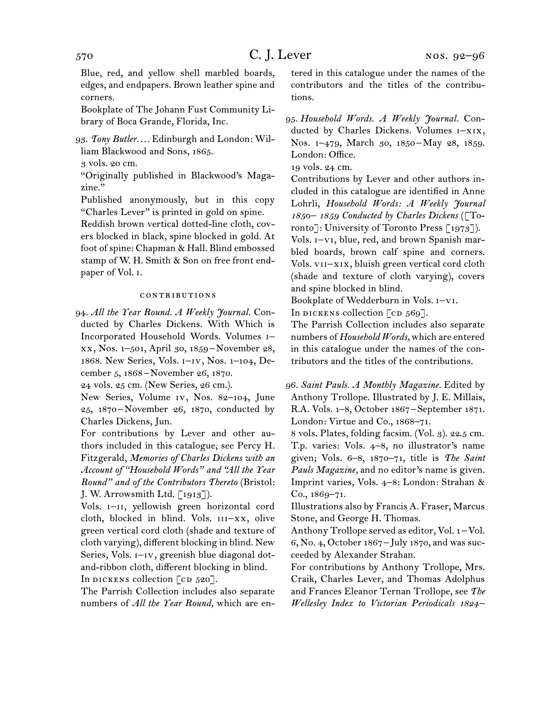Blue, red, and yellow shell marbled boards, edges, and endpapers. Brown leather spine and corners.

Bookplate of The Johann Fust Community Library of Boca Grande, Florida, Inc.

93.  *Tony Butler. . . .* Edinburgh and London: William Blackwood and Sons, 1865.

3 vols. 20 cm.

"Originally published in Blackwood's Magazine."

Published anonymously, but in this copy "Charles Lever" is printed in gold on spine.

Reddish brown vertical dotted-line cloth, covers blocked in black, spine blocked in gold. At foot of spine: Chapman & Hall. Blind embossed stamp of W. H. Smith & Son on free front endpaper of Vol. i.

## contributions

94.  *All the Year Round. A Weekly Journal.* Conducted by Charles Dickens. With Which is Incorporated Household Words. Volumes i– xx, Nos. 1–501, April 30, 1859 – November 28, 1868. New Series, Vols. i–iv, Nos. 1–104, December 5, 1868 – November 26, 1870.

24 vols. 25 cm. (New Series, 26 cm.).

New Series, Volume iv, Nos. 82–104, June 25, 1870 – November 26, 1870, conducted by Charles Dickens, Jun.

For contributions by Lever and other authors included in this catalogue, see Percy H. Fitzgerald, *Memories of Charles Dickens with an Account of "Household Words" and "All the Year Round" and of the Contributors Thereto* (Bristol: J. W. Arrowsmith Ltd. [1913]).

Vols. I-II, yellowish green horizontal cord cloth, blocked in blind. Vols. III-XX, olive green vertical cord cloth (shade and texture of cloth varying), different blocking in blind. New Series, Vols.  $I-V$ , greenish blue diagonal dotand-ribbon cloth, different blocking in blind. In DICKENS collection  $[CD 520]$ .

The Parrish Collection includes also separate numbers of *All the Year Round,* which are entered in this catalogue under the names of the contributors and the titles of the contributions.

95.  *Household Words. A Weekly Journal.* Conducted by Charles Dickens. Volumes i–xix, Nos. 1-479, March 30, 1850 – May 28, 1859. London: Office.

19 vols. 24 cm.

Contributions by Lever and other authors included in this catalogue are identified in Anne Lohrli, *Household Words: A Weekly Journal 1850– 1859 Conducted by Charles Dickens* ([Toronto]: University of Toronto Press  $\lceil 1973 \rceil$ ).

Vols. i–vi, blue, red, and brown Spanish marbled boards, brown calf spine and corners. Vols. vii–xix, bluish green vertical cord cloth (shade and texture of cloth varying), covers and spine blocked in blind.

Bookplate of Wedderburn in Vols. i–vi.

In DICKENS collection  $\lceil$  cD 569].

The Parrish Collection includes also separate numbers of *Household Words,* which are entered in this catalogue under the names of the contributors and the titles of the contributions.

96.  *Saint Pauls. A Monthly Magazine.* Edited by Anthony Trollope. Illustrated by J. E. Millais, R.A. Vols. 1–8, October 1867 – September 1871. London: Virtue and Co., 1868–71.

8 vols. Plates, folding facsim. (Vol. 3). 22.5 cm. T.p. varies: Vols. 4–8, no illustrator's name given; Vols. 6–8, 1870–71, title is *The Saint Pauls Magazine,* and no editor's name is given. Imprint varies, Vols. 4–8: London: Strahan & Co., 1869–71.

Illustrations also by Francis A. Fraser, Marcus Stone, and George H. Thomas.

Anthony Trollope served as editor, Vol. 1 – Vol. 6, No. 4, October 1867 – July 1870, and was succeeded by Alexander Strahan.

For contributions by Anthony Trollope, Mrs. Craik, Charles Lever, and Thomas Adolphus and Frances Eleanor Ternan Trollope, see *The Wellesley Index to Victorian Periodicals 1824 –*